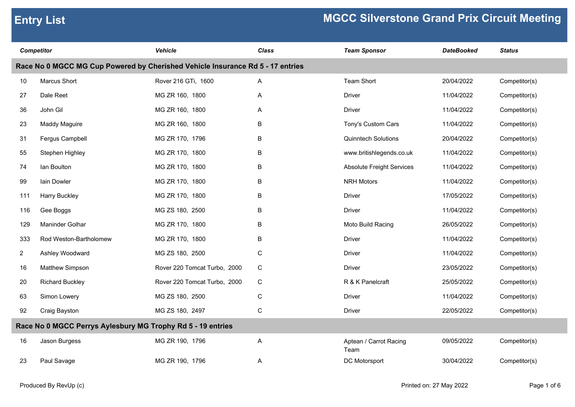| <b>Competitor</b> |                                                                                | <b>Vehicle</b>               | <b>Class</b> | <b>Team Sponsor</b>              | <b>DateBooked</b> | <b>Status</b> |
|-------------------|--------------------------------------------------------------------------------|------------------------------|--------------|----------------------------------|-------------------|---------------|
|                   | Race No 0 MGCC MG Cup Powered by Cherished Vehicle Insurance Rd 5 - 17 entries |                              |              |                                  |                   |               |
| 10                | Marcus Short                                                                   | Rover 216 GTi, 1600          | Α            | <b>Team Short</b>                | 20/04/2022        | Competitor(s) |
| 27                | Dale Reet                                                                      | MG ZR 160, 1800              | Α            | Driver                           | 11/04/2022        | Competitor(s) |
| 36                | John Gil                                                                       | MG ZR 160, 1800              | Α            | <b>Driver</b>                    | 11/04/2022        | Competitor(s) |
| 23                | Maddy Maguire                                                                  | MG ZR 160, 1800              | B            | Tony's Custom Cars               | 11/04/2022        | Competitor(s) |
| 31                | Fergus Campbell                                                                | MG ZR 170, 1796              | B            | <b>Quinntech Solutions</b>       | 20/04/2022        | Competitor(s) |
| 55                | Stephen Highley                                                                | MG ZR 170, 1800              | B            | www.britishlegends.co.uk         | 11/04/2022        | Competitor(s) |
| 74                | lan Boulton                                                                    | MG ZR 170, 1800              | B            | <b>Absolute Freight Services</b> | 11/04/2022        | Competitor(s) |
| 99                | lain Dowler                                                                    | MG ZR 170, 1800              | B            | <b>NRH Motors</b>                | 11/04/2022        | Competitor(s) |
| 111               | <b>Harry Buckley</b>                                                           | MG ZR 170, 1800              | B            | <b>Driver</b>                    | 17/05/2022        | Competitor(s) |
| 116               | Gee Boggs                                                                      | MG ZS 180, 2500              | B            | <b>Driver</b>                    | 11/04/2022        | Competitor(s) |
| 129               | Maninder Golhar                                                                | MG ZR 170, 1800              | B            | Moto Build Racing                | 26/05/2022        | Competitor(s) |
| 333               | Rod Weston-Bartholomew                                                         | MG ZR 170, 1800              | B            | Driver                           | 11/04/2022        | Competitor(s) |
| $\overline{2}$    | Ashley Woodward                                                                | MG ZS 180, 2500              | $\mathbf C$  | <b>Driver</b>                    | 11/04/2022        | Competitor(s) |
| 16                | Matthew Simpson                                                                | Rover 220 Tomcat Turbo, 2000 | C            | <b>Driver</b>                    | 23/05/2022        | Competitor(s) |
| 20                | <b>Richard Buckley</b>                                                         | Rover 220 Tomcat Turbo, 2000 | C            | R & K Panelcraft                 | 25/05/2022        | Competitor(s) |
| 63                | Simon Lowery                                                                   | MG ZS 180, 2500              | $\mathbf C$  | Driver                           | 11/04/2022        | Competitor(s) |
| 92                | Craig Bayston                                                                  | MG ZS 180, 2497              | $\mathsf C$  | <b>Driver</b>                    | 22/05/2022        | Competitor(s) |
|                   | Race No 0 MGCC Perrys Aylesbury MG Trophy Rd 5 - 19 entries                    |                              |              |                                  |                   |               |
| 16                | Jason Burgess                                                                  | MG ZR 190, 1796              | A            | Aptean / Carrot Racing<br>Team   | 09/05/2022        | Competitor(s) |
| 23                | Paul Savage                                                                    | MG ZR 190, 1796              | A            | DC Motorsport                    | 30/04/2022        | Competitor(s) |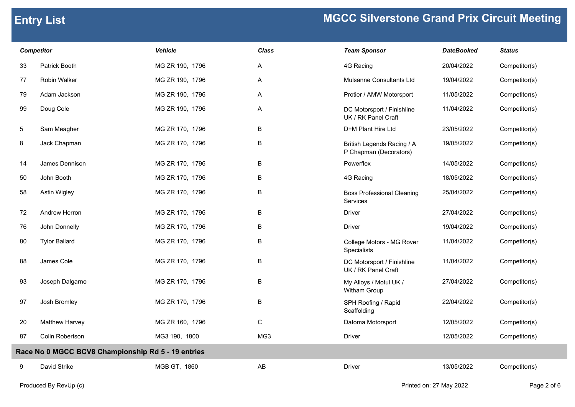| <b>Competitor</b> |                                                    | <b>Vehicle</b>  | <b>Class</b> | <b>Team Sponsor</b>                                  | <b>DateBooked</b> | <b>Status</b> |
|-------------------|----------------------------------------------------|-----------------|--------------|------------------------------------------------------|-------------------|---------------|
| 33                | Patrick Booth                                      | MG ZR 190, 1796 | A            | 4G Racing                                            | 20/04/2022        | Competitor(s) |
| 77                | <b>Robin Walker</b>                                | MG ZR 190, 1796 | A            | Mulsanne Consultants Ltd                             | 19/04/2022        | Competitor(s) |
| 79                | Adam Jackson                                       | MG ZR 190, 1796 | A            | Protier / AMW Motorsport                             | 11/05/2022        | Competitor(s) |
| 99                | Doug Cole                                          | MG ZR 190, 1796 | A            | DC Motorsport / Finishline<br>UK / RK Panel Craft    | 11/04/2022        | Competitor(s) |
| $5\phantom{.0}$   | Sam Meagher                                        | MG ZR 170, 1796 | $\, {\bf B}$ | D+M Plant Hire Ltd                                   | 23/05/2022        | Competitor(s) |
| 8                 | Jack Chapman                                       | MG ZR 170, 1796 | B            | British Legends Racing / A<br>P Chapman (Decorators) | 19/05/2022        | Competitor(s) |
| 14                | James Dennison                                     | MG ZR 170, 1796 | B            | Powerflex                                            | 14/05/2022        | Competitor(s) |
| 50                | John Booth                                         | MG ZR 170, 1796 | B            | 4G Racing                                            | 18/05/2022        | Competitor(s) |
| 58                | Astin Wigley                                       | MG ZR 170, 1796 | B            | <b>Boss Professional Cleaning</b><br><b>Services</b> | 25/04/2022        | Competitor(s) |
| 72                | Andrew Herron                                      | MG ZR 170, 1796 | $\sf B$      | Driver                                               | 27/04/2022        | Competitor(s) |
| 76                | John Donnelly                                      | MG ZR 170, 1796 | B            | Driver                                               | 19/04/2022        | Competitor(s) |
| 80                | <b>Tylor Ballard</b>                               | MG ZR 170, 1796 | B            | College Motors - MG Rover<br>Specialists             | 11/04/2022        | Competitor(s) |
| 88                | James Cole                                         | MG ZR 170, 1796 | B            | DC Motorsport / Finishline<br>UK / RK Panel Craft    | 11/04/2022        | Competitor(s) |
| 93                | Joseph Dalgarno                                    | MG ZR 170, 1796 | B            | My Alloys / Motul UK /<br>Witham Group               | 27/04/2022        | Competitor(s) |
| 97                | Josh Bromley                                       | MG ZR 170, 1796 | B            | SPH Roofing / Rapid<br>Scaffolding                   | 22/04/2022        | Competitor(s) |
| 20                | Matthew Harvey                                     | MG ZR 160, 1796 | $\mathsf C$  | Datoma Motorsport                                    | 12/05/2022        | Competitor(s) |
| 87                | Colin Robertson                                    | MG3 190, 1800   | MG3          | <b>Driver</b>                                        | 12/05/2022        | Competitor(s) |
|                   | Race No 0 MGCC BCV8 Championship Rd 5 - 19 entries |                 |              |                                                      |                   |               |
| 9                 | David Strike                                       | MGB GT, 1860    | AB           | <b>Driver</b>                                        | 13/05/2022        | Competitor(s) |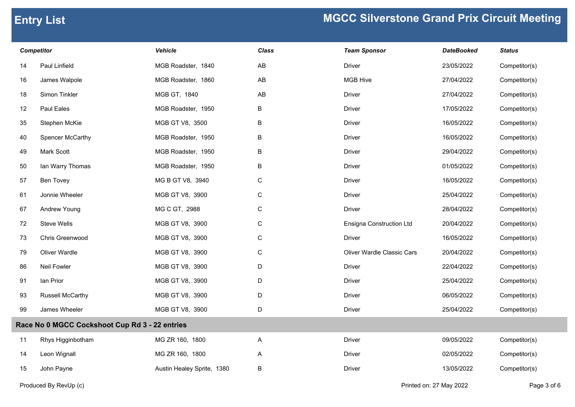| <b>Competitor</b> |                                                | Vehicle                    | Class                  | <b>Team Sponsor</b>               | <b>DateBooked</b> | <b>Status</b> |
|-------------------|------------------------------------------------|----------------------------|------------------------|-----------------------------------|-------------------|---------------|
| 14                | Paul Linfield                                  | MGB Roadster, 1840         | AB                     | <b>Driver</b>                     | 23/05/2022        | Competitor(s) |
| 16                | James Walpole                                  | MGB Roadster, 1860         | $\mathsf{A}\mathsf{B}$ | <b>MGB Hive</b>                   | 27/04/2022        | Competitor(s) |
| 18                | Simon Tinkler                                  | MGB GT, 1840               | $\mathsf{A}\mathsf{B}$ | <b>Driver</b>                     | 27/04/2022        | Competitor(s) |
| 12                | Paul Eales                                     | MGB Roadster, 1950         | B                      | <b>Driver</b>                     | 17/05/2022        | Competitor(s) |
| 35                | Stephen McKie                                  | MGB GT V8, 3500            | B                      | Driver                            | 16/05/2022        | Competitor(s) |
| 40                | Spencer McCarthy                               | MGB Roadster, 1950         | B                      | Driver                            | 16/05/2022        | Competitor(s) |
| 49                | Mark Scott                                     | MGB Roadster, 1950         | B                      | <b>Driver</b>                     | 29/04/2022        | Competitor(s) |
| 50                | Ian Warry Thomas                               | MGB Roadster, 1950         | B                      | <b>Driver</b>                     | 01/05/2022        | Competitor(s) |
| 57                | Ben Tovey                                      | MG B GT V8, 3940           | $\mathsf C$            | Driver                            | 16/05/2022        | Competitor(s) |
| 61                | Jonnie Wheeler                                 | MGB GT V8, 3900            | $\mathsf C$            | <b>Driver</b>                     | 25/04/2022        | Competitor(s) |
| 67                | Andrew Young                                   | MG C GT, 2988              | $\mathsf C$            | <b>Driver</b>                     | 28/04/2022        | Competitor(s) |
| 72                | Steve Wells                                    | MGB GT V8, 3900            | $\mathsf C$            | Ensigna Construction Ltd          | 20/04/2022        | Competitor(s) |
| 73                | Chris Greenwood                                | MGB GT V8, 3900            | $\mathsf C$            | Driver                            | 16/05/2022        | Competitor(s) |
| 79                | Oliver Wardle                                  | MGB GT V8, 3900            | $\mathsf C$            | <b>Oliver Wardle Classic Cars</b> | 20/04/2022        | Competitor(s) |
| 86                | <b>Neil Fowler</b>                             | MGB GT V8, 3900            | D                      | <b>Driver</b>                     | 22/04/2022        | Competitor(s) |
| 91                | lan Prior                                      | MGB GT V8, 3900            | D                      | <b>Driver</b>                     | 25/04/2022        | Competitor(s) |
| 93                | <b>Russell McCarthy</b>                        | MGB GT V8, 3900            | D                      | Driver                            | 06/05/2022        | Competitor(s) |
| 99                | James Wheeler                                  | MGB GT V8, 3900            | D                      | <b>Driver</b>                     | 25/04/2022        | Competitor(s) |
|                   | Race No 0 MGCC Cockshoot Cup Rd 3 - 22 entries |                            |                        |                                   |                   |               |
| 11                | Rhys Higginbotham                              | MG ZR 160, 1800            | A                      | <b>Driver</b>                     | 09/05/2022        | Competitor(s) |
| 14                | Leon Wignall                                   | MG ZR 160, 1800            | Α                      | <b>Driver</b>                     | 02/05/2022        | Competitor(s) |
| 15                | John Payne                                     | Austin Healey Sprite, 1380 | B                      | Driver                            | 13/05/2022        | Competitor(s) |
|                   |                                                |                            |                        |                                   |                   |               |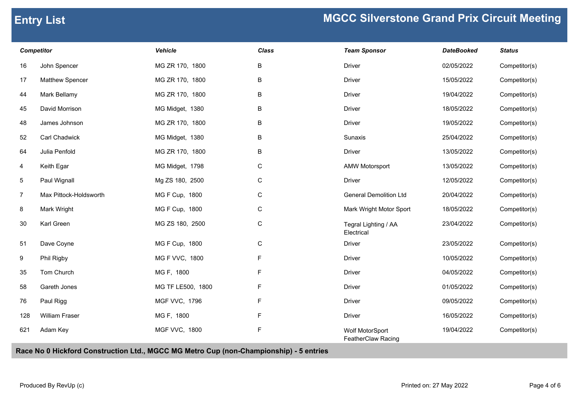| <b>Competitor</b> |                        | Vehicle              | <b>Class</b> | <b>Team Sponsor</b>                   | <b>DateBooked</b> | <b>Status</b> |
|-------------------|------------------------|----------------------|--------------|---------------------------------------|-------------------|---------------|
| 16                | John Spencer           | MG ZR 170, 1800      | B            | <b>Driver</b>                         | 02/05/2022        | Competitor(s) |
| 17                | Matthew Spencer        | MG ZR 170, 1800      | B            | <b>Driver</b>                         | 15/05/2022        | Competitor(s) |
| 44                | Mark Bellamy           | MG ZR 170, 1800      | B            | <b>Driver</b>                         | 19/04/2022        | Competitor(s) |
| 45                | David Morrison         | MG Midget, 1380      | B            | <b>Driver</b>                         | 18/05/2022        | Competitor(s) |
| 48                | James Johnson          | MG ZR 170, 1800      | B            | <b>Driver</b>                         | 19/05/2022        | Competitor(s) |
| 52                | Carl Chadwick          | MG Midget, 1380      | B            | Sunaxis                               | 25/04/2022        | Competitor(s) |
| 64                | Julia Penfold          | MG ZR 170, 1800      | B            | Driver                                | 13/05/2022        | Competitor(s) |
| 4                 | Keith Egar             | MG Midget, 1798      | ${\bf C}$    | <b>AMW Motorsport</b>                 | 13/05/2022        | Competitor(s) |
| 5 <sub>5</sub>    | Paul Wignall           | Mg ZS 180, 2500      | $\mathsf C$  | <b>Driver</b>                         | 12/05/2022        | Competitor(s) |
| $\overline{7}$    | Max Pittock-Holdsworth | MG F Cup, 1800       | ${\bf C}$    | <b>General Demolition Ltd</b>         | 20/04/2022        | Competitor(s) |
| 8                 | Mark Wright            | MG F Cup, 1800       | $\mathsf C$  | Mark Wright Motor Sport               | 18/05/2022        | Competitor(s) |
| 30                | Karl Green             | MG ZS 180, 2500      | ${\bf C}$    | Tegral Lighting / AA<br>Electrical    | 23/04/2022        | Competitor(s) |
| 51                | Dave Coyne             | MG F Cup, 1800       | ${\bf C}$    | <b>Driver</b>                         | 23/05/2022        | Competitor(s) |
| 9                 | Phil Rigby             | MG F VVC, 1800       | F            | <b>Driver</b>                         | 10/05/2022        | Competitor(s) |
| 35                | Tom Church             | MG F, 1800           | F            | Driver                                | 04/05/2022        | Competitor(s) |
| 58                | Gareth Jones           | MG TF LE500, 1800    | F            | <b>Driver</b>                         | 01/05/2022        | Competitor(s) |
| 76                | Paul Rigg              | MGF VVC, 1796        | F            | <b>Driver</b>                         | 09/05/2022        | Competitor(s) |
| 128               | William Fraser         | MG F, 1800           | F            | <b>Driver</b>                         | 16/05/2022        | Competitor(s) |
| 621               | Adam Key               | <b>MGF VVC, 1800</b> | F            | Wolf MotorSport<br>FeatherClaw Racing | 19/04/2022        | Competitor(s) |

**Race No 0 Hickford Construction Ltd., MGCC MG Metro Cup (non-Championship) - 5 entries**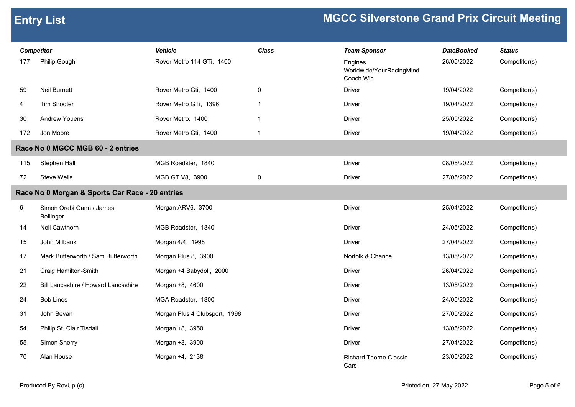| <b>Competitor</b> |                                                 | <b>Vehicle</b>                | <b>Class</b>            | <b>Team Sponsor</b>                              | <b>DateBooked</b> | <b>Status</b> |
|-------------------|-------------------------------------------------|-------------------------------|-------------------------|--------------------------------------------------|-------------------|---------------|
| 177               | Philip Gough                                    | Rover Metro 114 GTi, 1400     |                         | Engines<br>Worldwide/YourRacingMind<br>Coach.Win | 26/05/2022        | Competitor(s) |
| 59                | <b>Neil Burnett</b>                             | Rover Metro Gti, 1400         | 0                       | <b>Driver</b>                                    | 19/04/2022        | Competitor(s) |
| 4                 | Tim Shooter                                     | Rover Metro GTi, 1396         | $\overline{1}$          | Driver                                           | 19/04/2022        | Competitor(s) |
| 30                | <b>Andrew Youens</b>                            | Rover Metro, 1400             | $\overline{1}$          | <b>Driver</b>                                    | 25/05/2022        | Competitor(s) |
| 172               | Jon Moore                                       | Rover Metro Gti, 1400         | $\overline{\mathbf{1}}$ | <b>Driver</b>                                    | 19/04/2022        | Competitor(s) |
|                   | Race No 0 MGCC MGB 60 - 2 entries               |                               |                         |                                                  |                   |               |
| 115               | Stephen Hall                                    | MGB Roadster, 1840            |                         | <b>Driver</b>                                    | 08/05/2022        | Competitor(s) |
| 72                | <b>Steve Wells</b>                              | MGB GT V8, 3900               | $\pmb{0}$               | <b>Driver</b>                                    | 27/05/2022        | Competitor(s) |
|                   | Race No 0 Morgan & Sports Car Race - 20 entries |                               |                         |                                                  |                   |               |
| 6                 | Simon Orebi Gann / James<br>Bellinger           | Morgan ARV6, 3700             |                         | <b>Driver</b>                                    | 25/04/2022        | Competitor(s) |
| 14                | Neil Cawthorn                                   | MGB Roadster, 1840            |                         | <b>Driver</b>                                    | 24/05/2022        | Competitor(s) |
| 15                | John Milbank                                    | Morgan 4/4, 1998              |                         | <b>Driver</b>                                    | 27/04/2022        | Competitor(s) |
| 17                | Mark Butterworth / Sam Butterworth              | Morgan Plus 8, 3900           |                         | Norfolk & Chance                                 | 13/05/2022        | Competitor(s) |
| 21                | Craig Hamilton-Smith                            | Morgan +4 Babydoll, 2000      |                         | <b>Driver</b>                                    | 26/04/2022        | Competitor(s) |
| 22                | Bill Lancashire / Howard Lancashire             | Morgan +8, 4600               |                         | <b>Driver</b>                                    | 13/05/2022        | Competitor(s) |
| 24                | <b>Bob Lines</b>                                | MGA Roadster, 1800            |                         | <b>Driver</b>                                    | 24/05/2022        | Competitor(s) |
| 31                | John Bevan                                      | Morgan Plus 4 Clubsport, 1998 |                         | <b>Driver</b>                                    | 27/05/2022        | Competitor(s) |
| 54                | Philip St. Clair Tisdall                        | Morgan +8, 3950               |                         | Driver                                           | 13/05/2022        | Competitor(s) |
| 55                | Simon Sherry                                    | Morgan +8, 3900               |                         | <b>Driver</b>                                    | 27/04/2022        | Competitor(s) |
| 70                | Alan House                                      | Morgan +4, 2138               |                         | <b>Richard Thorne Classic</b><br>Cars            | 23/05/2022        | Competitor(s) |